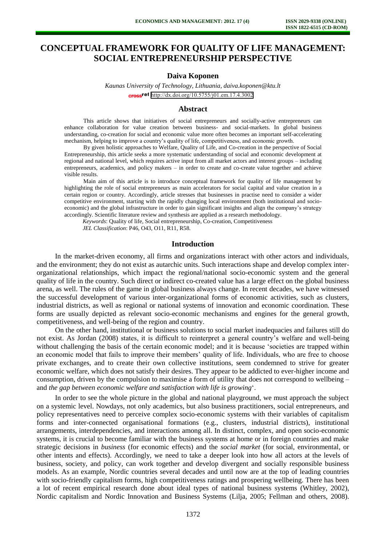# **CONCEPTUAL FRAMEWORK FOR QUALITY OF LIFE MANAGEMENT: SOCIAL ENTREPRENEURSHIP PERSPECTIVE**

## **Daiva Koponen**

*Kaunas University of Technology, Lithuania, daiva.koponen@ktu.lt*  cross<sup>ref</sup> <http://dx.doi.org/10.5755/j01.em.17.4.3002>

#### **Abstract**

This article shows that initiatives of social entrepreneurs and socially-active entrepreneurs can enhance collaboration for value creation between business- and social-markets. In global business understanding, co-creation for social and economic value more often becomes an important self-accelerating mechanism, helping to improve a country's quality of life, competitiveness, and economic growth.

By given holistic approaches to Welfare, Quality of Life, and Co-creation in the perspective of Social Entrepreneurship, this article seeks a more systematic understanding of social and economic development at regional and national level, which requires active input from all market actors and interest groups – including entrepreneurs, academics, and policy makers – in order to create and co-create value together and achieve visible results.

Main aim of this article is to introduce conceptual framework for quality of life management by highlighting the role of social entrepreneurs as main accelerators for social capital and value creation in a certain region or country. Accordingly, article stresses that businesses in practise need to consider a wider competitive environment, starting with the rapidly changing local environment (both institutional and socioeconomic) and the global infrastructure in order to gain significant insights and align the company's strategy accordingly. Scientific literature review and synthesis are applied as a research methodology.

*Keywords*: Quality of life, Social entrepreneurship, Co-creation, Competitiveness

*JEL Classification*: P46, O43, O11, R11, R58.

#### **Introduction**

In the market-driven economy, all firms and organizations interact with other actors and individuals, and the environment; they do not exist as autarchic units. Such interactions shape and develop complex interorganizational relationships, which impact the regional/national socio-economic system and the general quality of life in the country. Such direct or indirect co-created value has a large effect on the global business arena, as well. The rules of the game in global business always change. In recent decades, we have witnessed the successful development of various inter-organizational forms of economic activities, such as clusters, industrial districts, as well as regional or national systems of innovation and economic coordination. These forms are usually depicted as relevant socio-economic mechanisms and engines for the general growth, competitiveness, and well-being of the region and country.

On the other hand, institutional or business solutions to social market inadequacies and failures still do not exist. As [Jordan \(2008\)](http://www.amazon.com/Welfare-Well-Being-Social-Public-Policy/dp/1847420818/ref=sr_1_4?s=books&ie=UTF8&qid=1333599582&sr=1-4) states, it is difficult to reinterpret a general country's welfare and well-being without challenging the basis of the certain economic model; and it is because 'societies are trapped within an economic model that fails to improve their members' quality of life. Individuals, who are free to choose private exchanges, and to create their own collective institutions, seem condemned to strive for greater economic welfare, which does not satisfy their desires. They appear to be addicted to ever-higher income and consumption, driven by the compulsion to maximise a form of utility that does not correspond to wellbeing – and *the gap between economic welfare and satisfaction with life is growing*'.

In order to see the whole picture in the global and national playground, we must approach the subject on a systemic level. Nowdays, not only academics, but also business practitioners, social entrepreneurs, and policy representatives need to perceive complex socio-economic systems with their variables of capitalism forms and inter-connected organisational formations (e.g., clusters, industrial districts), institutional arrangements, interdependencies, and interactions among all. In distinct, complex, and open socio-economic systems, it is crucial to become familiar with the business systems at home or in foreign countries and make strategic decisions in *business* (for economic effects) and the *social market* (for social, environmental, or other intents and effects). Accordingly, we need to take a deeper look into how all actors at the levels of business, society, and policy, can work together and develop divergent and socially responsible business models. As an example, Nordic countries several decades and until now are at the top of leading countries with socio-friendly capitalism forms, high competitiveness ratings and prospering wellbeing. There has been a lot of recent empirical research done about ideal types of national business systems (Whitley, 2002), Nordic capitalism and Nordic Innovation and Business Systems (Lilja, 2005; Fellman and others, 2008).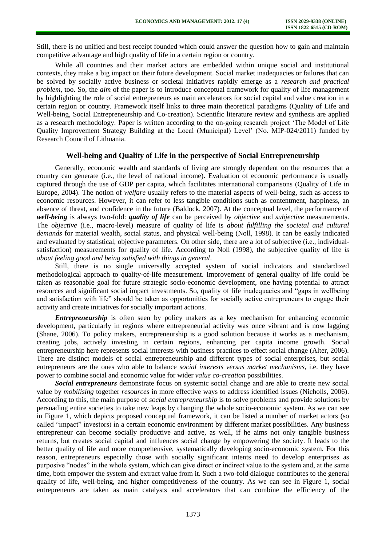Still, there is no unified and best receipt founded which could answer the question how to gain and maintain competitive advantage and high quality of life in a certain region or country.

While all countries and their market actors are embedded within unique social and institutional contexts, they make a big impact on their future development. Social market inadequacies or failures that can be solved by socially active business or societal initiatives rapidly emerge as a *research and practical problem*, too. So, the *aim* of the paper is to introduce conceptual framework for quality of life management by highlighting the role of social entrepreneurs as main accelerators for social capital and value creation in a certain region or country. Framework itself links to three main theoretical paradigms (Quality of Life and Well-being, Social Entrepreneurship and Co-creation). Scientific literature review and synthesis are applied as a research methodology. Paper is written according to the on-going research project 'The Model of Life Quality Improvement Strategy Building at the Local (Municipal) Level' (No. MIP-024/2011) funded by Research Council of Lithuania.

## **Well-being and Quality of Life in the perspective of Social Entrepreneurship**

Generally, economic wealth and standards of living are strongly dependent on the resources that a country can generate (i.e., the level of national income). Evaluation of economic performance is usually captured through the use of GDP per capita, which facilitates international comparisons [\(Quality of Life in](http://www.eurofound.europa.eu/pubdocs/2004/105/en/1/ef04105en.pdf)  [Europe, 2004\).](http://www.eurofound.europa.eu/pubdocs/2004/105/en/1/ef04105en.pdf) The notion of *welfare* usually refers to the material aspects of well-being, such as access to economic resources. However, it can refer to less tangible conditions such as contentment, happiness, an absence of threat, and confidence in the future [\(Baldock, 2007\).](http://www.amazon.co.uk/Social-Policy-John-Baldock/dp/0199284970) At the conceptual level, the performance of *well-being* is always two-fold: *quality of life* can be perceived by *objective* and *subjective* measurements. The *objective* (i.e., macro-level) measure of quality of life is *about fulfilling the societal and cultural demands* for material wealth, social status, and physical well-being [\(Noll, 1998\).](http://www.ccsd.ca/noll1.html) It can be easily indicated and evaluated by statistical, objective parameters. On other side, there are a lot of subjective (i.e., individualsatisfaction) measurements for quality of life. According to [Noll \(1998\),](http://www.ccsd.ca/noll1.html) the subjective quality of life *is about feeling good and being satisfied with things in general*.

Still, there is no single universally accepted system of social indicators and standardized methodological approach to quality-of-life measurement. Improvement of general quality of life could be taken as reasonable goal for future strategic socio-economic development, one having potential to attract resources and significant social impact investments. So, quality of life inadequacies and "gaps in wellbeing and satisfaction with life" should be taken as opportunities for socially active entrepreneurs to engage their activity and create initiatives for socially important actions.

*Entrepreneurship* is often seen by policy makers as a key mechanism for enhancing economic development, particularly in regions where entrepreneurial activity was once vibrant and is now lagging (Shane, 2006). To policy makers, entrepreneurship is a good solution because it works as a mechanism, creating jobs, actively investing in certain regions, enhancing per capita income growth. Social entrepreneurship here represents social interests with business practices to effect social change (Alter, 2006). There are distinct models of social entrepreneurship and different types of social enterprises, but social entrepreneurs are the ones who able to balance *social interests versus market mechanisms*, i.e. they have power to combine social and economic value for wider *value co-creation* possibilities.

*Social entrepreneurs* demonstrate focus on systemic social change and are able to create new social value by *mobilising* together *resources* in more effective ways to address identified issues (Nicholls, 2006). According to this, the main purpose of *social entrepreneurship* is to solve problems and provide solutions by persuading entire societies to take new leaps by changing the whole socio-economic system. As we can see in Figure 1, which depicts proposed conceptual framework, it can be listed a number of market actors (so called "impact" investors) in a certain economic environment by different market possibilities. Any business entrepreneur can become socially productive and active, as well, if he aims not only tangible business returns, but creates social capital and influences social change by empowering the society. It leads to the better quality of life and more comprehensive, systematically developing socio-economic system. For this reason, entrepreneurs especially those with socially significant intents need to develop enterprises as purposive "nodes" in the whole system, which can give direct or indirect value to the system and, at the same time, both empower the system and extract value from it. Such a two-fold dialogue contributes to the general quality of life, well-being, and higher competitiveness of the country. As we can see in Figure 1, social entrepreneurs are taken as main catalysts and accelerators that can combine the efficiency of the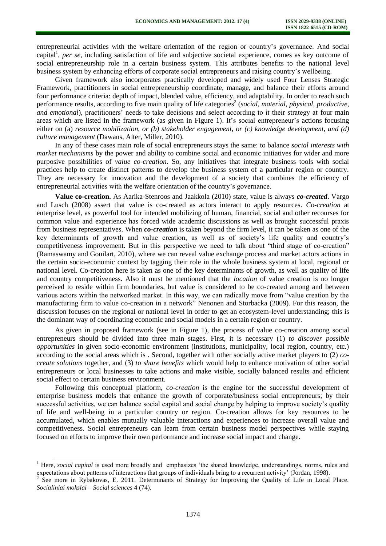entrepreneurial activities with the welfare orientation of the region or country's governance. And social capital<sup>1</sup>, *per se*, including satisfaction of life and subjective societal experience, comes as key outcome of social entrepreneurship role in a certain business system. This attributes benefits to the national level business system by enhancing efforts of corporate social entrepreneurs and raising country's wellbeing.

Given framework also incorporates practically developed and widely used [Four Lenses Strategic](http://www.4lenses.org/)  [Framework,](http://www.4lenses.org/) practitioners in social entrepreneurship coordinate, manage, and balance their efforts around four performance criteria: depth of impact, blended value, efficiency, and adaptability. In order to reach such performance results, according to five main quality of life categories<sup>2</sup> (social, material, physical, productive, *and emotional*), practitioners' needs to take decisions and select according to it their strategy at [four main](http://www.4lenses.org/part3)  [areas](http://www.4lenses.org/part3) which are listed in the framework (as given in Figure 1). It's social entrepreneur's actions focusing either on (a) *resource mobilization, or (b) stakeholder engagement, or (c) knowledge development, and (d) culture management* (Dawans, Alter, Miller, 2010).

In any of these cases main role of social entrepreneurs stays the same: to balance *social interests with market mechanisms* by the power and ability to combine social and economic initiatives for wider and more purposive possibilities of *value co-creation*. So, any initiatives that integrate business tools with social practices help to create distinct patterns to develop the business system of a particular region or country. They are necessary for innovation and the development of a society that combines the efficiency of entrepreneurial activities with the welfare orientation of the country's governance.

**Value co-creation.** As [Aarika-Stenroos and Jaakkola \(2010\)](http://www.vtt.fi/files/sites/verso/aarikka_jaakkola_value_co_creation_within_buyer_seller_relationships_in_knowledge_intensive.pdf) state, value is always *co-created*. [Vargo](http://www.sdlogic.net/Vargo_and_Lusch_2008_IMM.pdf)  [and Lusch \(2008\)](http://www.sdlogic.net/Vargo_and_Lusch_2008_IMM.pdf) assert that value is co-created as actors interact to apply resources. *Co-creation* at enterprise level, as powerful tool for intended mobilizing of human, financial, social and other recourses for common value and experience has forced wide academic discussions as well as brought successful praxis from business representatives. When *co-creation* is taken beyond the firm level, it can be taken as one of the key determinants of growth and value creation, as well as of society's life quality and country's competitiveness improvement. But in this perspective we need to talk about "third stage of co-creation" (Ramaswamy and Gouilart, 2010), where we can reveal value exchange process and market actors actions in the certain socio-economic context by tagging their role in the whole business system at local, regional or national level. Co-creation here is taken as one of the key determinants of growth, as well as quality of life and country competitiveness. Also it must be mentioned that the *location* of value creation is no longer perceived to reside within firm boundaries, but value is considered to be co-created among and between various actors within the networked market. In this way, we can radically move from "value creation by the manufacturing firm to value co-creation in a network" [Nenonen and Storbacka \(2009\).](http://webuser.unicas.it/madi/forum/uploads/site_files/Nanonen%20-%20Storbacka%20-%20Business%20model%20design,%20conceptualizing%20networked%20value%20co-creation.pdf) For this reason, the discussion focuses on the regional or national level in order to get an ecosystem-level understanding; this is the dominant way of coordinating economic and social models in a certain region or country.

As given in proposed framework (see in Figure 1), the process of value co-creation among social entrepreneurs should be divided into three main stages. First, it is necessary (1) *to discover possible opportunities* in given socio-economic environment (institutions, municipality, local region, country, etc.) according to the social areas which is . Second, together with other socially active market players to (2) *cocreate solutions* together, and (3) *to share benefits* which would help to enhance motivation of other social entrepreneurs or local businesses to take actions and make visible, socially balanced results and efficient social effect to certain business environment.

Following this conceptual platform*, [co-creation](http://web.me.com/venkatr/cocreation/Writings/Archive.html)* is the engine for the successful development of enterprise business models that enhance the growth of corporate/business [social entrepreneurs;](http://www.hbs.edu/research/pdf/09-101.pdf) by their successful activities, we can balance social capital and social change by helping to improve society's quality of life and well-being in a particular country or region. Co-creation allows for key resources to be accumulated, which enables mutually valuable interactions and experiences to increase overall value and competitiveness. Social entrepreneurs can learn from certain business model perspectives while staying focused on efforts to improve their own performance and increase social impact and change.

 $\overline{a}$ 

<sup>1</sup> Here, *social capital* is used more broadly and emphasizes 'the shared knowledge, understandings, norms, rules and expectations about patterns of interactions that groups of individuals bring to a recurrent activity' [\(Jordan, 1998\).](http://www.amazon.com/Welfare-Well-Being-Social-Public-Policy/dp/1847420818/ref=sr_1_4?s=books&ie=UTF8&qid=1333599582&sr=1-4)

<sup>&</sup>lt;sup>2</sup> See more in Rybakovas, E. 2011. Determinants of Strategy for Improving the Quality of Life in Local Place. *Socialiniai mokslai – Social sciences* 4 (74).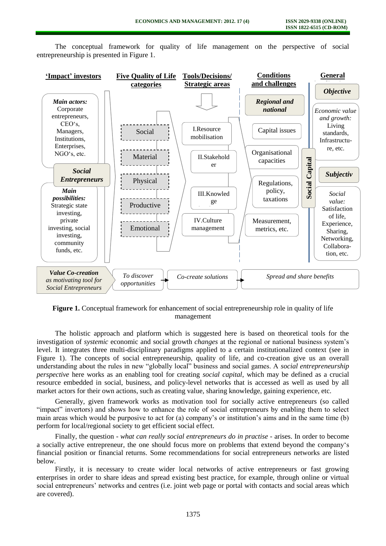

The conceptual framework for quality of life management on the perspective of social entrepreneurship is presented in Figure 1.

Figure 1. Conceptual framework for enhancement of social entrepreneurship role in quality of life management

The holistic approach and platform which is suggested here is based on theoretical tools for the investigation of *systemic* economic and social growth *changes* at the regional or national business system's level. It integrates three multi-disciplinary paradigms applied to a certain institutionalized context (see in Figure 1). The concepts of social entrepreneurship, quality of life, and co-creation give us an overall understanding about the rules in new "globally local" business and social games. A *social entrepreneurship perspective* here works as an enabling tool for creating *social capital*, which may be defined as a crucial resource embedded in social, business, and policy-level networks that is accessed as well as used by all market actors for their own actions, such as creating value, sharing knowledge, gaining experience, etc.

Generally, given framework works as motivation tool for socially active entrepreneurs (so called "impact" invertors) and shows how to enhance the role of social entrepreneurs by enabling them to select main areas which would be purposive to act for (a) company's or institution's aims and in the same time (b) perform for local/regional society to get efficient social effect.

Finally, the question - *what can really social entrepreneurs do in practise -* arises. In order to become a socially active entrepreneur, the one should focus more on problems that extend beyond the company's financial position or financial returns. Some recommendations for social entrepreneurs networks are listed below.

Firstly, it is necessary to create wider local networks of active entrepreneurs or fast growing enterprises in order to share ideas and spread existing best practice, for example, through online or virtual social entrepreneurs' networks and centres (i.e. joint web page or portal with contacts and social areas which are covered).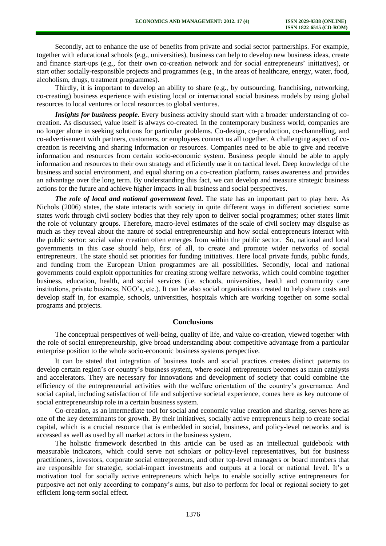Secondly, act to enhance the use of benefits from private and social sector partnerships. For example, together with educational schools (e.g., universities), business can help to develop new business ideas, create and finance start-ups (e.g., for their own co-creation network and for social entrepreneurs' initiatives), or start other socially-responsible projects and programmes (e.g., in the areas of healthcare, energy, water, food, alcoholism, drugs, treatment programmes).

Thirdly, it is important to develop an ability to share (e.g., by outsourcing, franchising, networking, co-creating) business experience with existing local or international social business models by using global resources to local ventures or local resources to global ventures.

*Insights for business people*. Every business activity should start with a broader understanding of cocreation. As discussed, value itself is always co-created. In the contemporary business world, companies are no longer alone in seeking solutions for particular problems. Co-design, co-production, co-channelling, and co-advertisement with partners, customers, or employees connect us all together. A challenging aspect of cocreation is receiving and sharing information or resources. Companies need to be able to give and receive information and resources from certain socio-economic system. Business people should be able to apply information and resources to their own strategy and efficiently use it on tactical level. Deep knowledge of the business and social environment, and equal sharing on a co-creation platform, raises awareness and provides an advantage over the long term. By understanding this fact, we can develop and measure strategic business actions for the future and achieve higher impacts in all business and social perspectives.

*The role of local and national government level***.** The state has an important part to play here. As Nichols (2006) states, the state interacts with society in quite different ways in different societies: some states work through civil society bodies that they rely upon to deliver social programmes; other states limit the role of voluntary groups. Therefore, macro-level estimates of the scale of civil society may disguise as much as they reveal about the nature of social entrepreneurship and how social entrepreneurs interact with the public sector: social value creation often emerges from within the public sector. So, national and local governments in this case should help, first of all, to create and promote wider networks of social entrepreneurs. The state should set priorities for funding initiatives. Here local private funds, public funds, and funding from the European Union programmes are all possibilities. Secondly, local and national governments could exploit opportunities for creating strong welfare networks, which could combine together business, education, health, and social services (i.e. schools, universities, health and community care institutions, private business, NGO's, etc.). It can be also social organisations created to help share costs and develop staff in, for example, schools, universities, hospitals which are working together on some social programs and projects.

#### **Conclusions**

The conceptual perspectives of well-being, quality of life, and value co-creation, viewed together with the role of social entrepreneurship, give broad understanding about competitive advantage from a particular enterprise position to the whole socio-economic business systems perspective.

It can be stated that integration of business tools and social practices creates distinct patterns to develop certain region's or country's business system, where social entrepreneurs becomes as main catalysts and accelerators. They are necessary for innovations and development of society that could combine the efficiency of the entrepreneurial activities with the welfare orientation of the country's governance. And social capital, including satisfaction of life and subjective societal experience, comes here as key outcome of social entrepreneurship role in a certain business system.

Co-creation, as an intermediate tool for social and economic value creation and sharing, serves here as one of the key determinants for growth. By their initiatives, socially active entrepreneurs help to create social capital, which is a crucial resource that is embedded in social, business, and policy-level networks and is accessed as well as used by all market actors in the business system.

The holistic framework described in this article can be used as an intellectual guidebook with measurable indicators, which could serve not scholars or policy-level representatives, but for business practitioners, investors, corporate social entrepreneurs, and other top-level managers or board members that are responsible for strategic, social-impact investments and outputs at a local or national level. It's a motivation tool for socially active entrepreneurs which helps to enable socially active entrepreneurs for purposive act not only according to company's aims, but also to perform for local or regional society to get efficient long-term social effect.